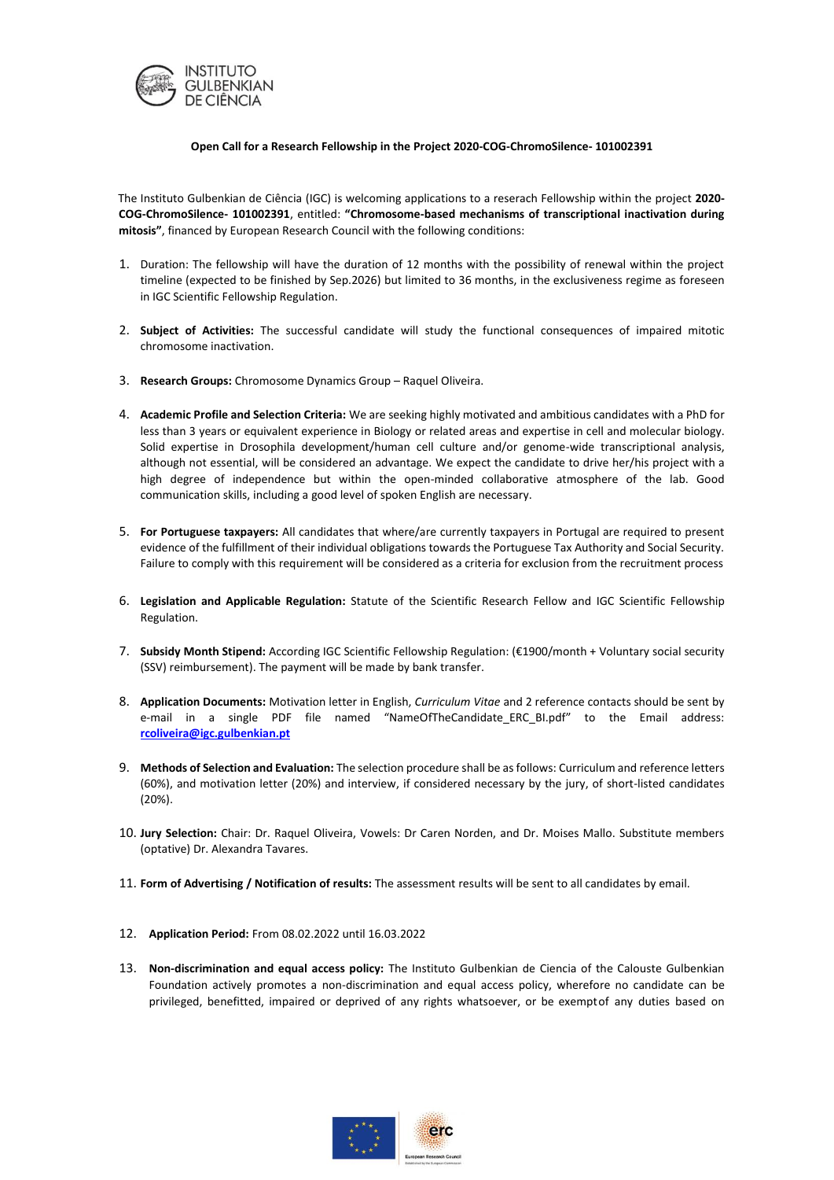

## **Open Call for a Research Fellowship in the Project 2020‐COG‐ChromoSilence‐ 101002391**

The Instituto Gulbenkian de Ciência (IGC) is welcoming applications to a reserach Fellowship within the project **2020‐ COG‐ChromoSilence‐ 101002391**, entitled: **"Chromosome‐based mechanisms of transcriptional inactivation during mitosis"**, financed by European Research Council with the following conditions:

- 1. Duration: The fellowship will have the duration of 12 months with the possibility of renewal within the project timeline (expected to be finished by Sep.2026) but limited to 36 months, in the exclusiveness regime as foreseen in IGC Scientific Fellowship Regulation.
- 2. **Subject of Activities:** The successful candidate will study the functional consequences of impaired mitotic chromosome inactivation.
- 3. **Research Groups:** Chromosome Dynamics Group Raquel Oliveira.
- 4. **Academic Profile and Selection Criteria:** We are seeking highly motivated and ambitious candidates with a PhD for less than 3 years or equivalent experience in Biology or related areas and expertise in cell and molecular biology. Solid expertise in Drosophila development/human cell culture and/or genome-wide transcriptional analysis, although not essential, will be considered an advantage. We expect the candidate to drive her/his project with a high degree of independence but within the open-minded collaborative atmosphere of the lab. Good communication skills, including a good level of spoken English are necessary.
- 5. **For Portuguese taxpayers:** All candidates that where/are currently taxpayers in Portugal are required to present evidence of the fulfillment of their individual obligations towards the Portuguese Tax Authority and Social Security. Failure to comply with this requirement will be considered as a criteria for exclusion from the recruitment process
- 6. **Legislation and Applicable Regulation:** Statute of the Scientific Research Fellow and IGC Scientific Fellowship Regulation.
- 7. **Subsidy Month Stipend:** According IGC Scientific Fellowship Regulation: (€1900/month + Voluntary social security (SSV) reimbursement). The payment will be made by bank transfer.
- 8. **Application Documents:** Motivation letter in English, *Curriculum Vitae* and 2 reference contacts should be sent by e‐mail in a single PDF file named "NameOfTheCandidate\_ERC\_BI.pdf" to the Email address: **rcoliveira@igc.gulbenkian.pt**
- 9. **Methods of Selection and Evaluation:** The selection procedure shall be as follows: Curriculum and reference letters (60%), and motivation letter (20%) and interview, if considered necessary by the jury, of short-listed candidates (20%).
- 10. **Jury Selection:** Chair: Dr. Raquel Oliveira, Vowels: Dr Caren Norden, and Dr. Moises Mallo. Substitute members (optative) Dr. Alexandra Tavares.
- 11. **Form of Advertising / Notification of results:** The assessment results will be sent to all candidates by email.
- 12. **Application Period:** From 08.02.2022 until 16.03.2022
- 13. **Non-discrimination and equal access policy:** The Instituto Gulbenkian de Ciencia of the Calouste Gulbenkian Foundation actively promotes a non-discrimination and equal access policy, wherefore no candidate can be privileged, benefitted, impaired or deprived of any rights whatsoever, or be exemptof any duties based on